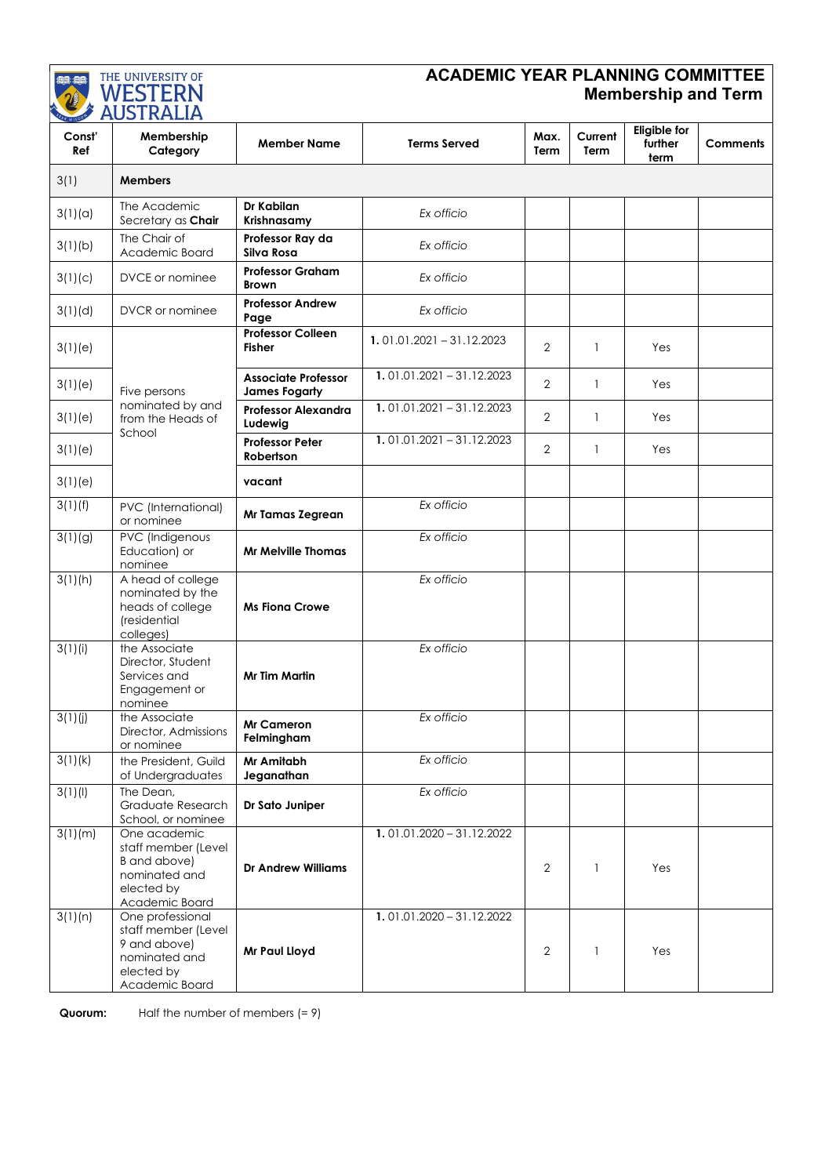

## **ACADEMIC YEAR PLANNING COMMITTEE Membership and Term**

| EX WISDO<br>Const'<br>Ref | 110011M1111<br>Membership<br>Category                                                                    | <b>Member Name</b>                                 | <b>Terms Served</b>         | Max.<br>Term   | Current<br>Term | <b>Eligible for</b><br>further<br>term | <b>Comments</b> |
|---------------------------|----------------------------------------------------------------------------------------------------------|----------------------------------------------------|-----------------------------|----------------|-----------------|----------------------------------------|-----------------|
| 3(1)                      | <b>Members</b>                                                                                           |                                                    |                             |                |                 |                                        |                 |
| 3(1)(a)                   | The Academic<br>Secretary as Chair                                                                       | Dr Kabilan<br>Krishnasamy                          | Ex officio                  |                |                 |                                        |                 |
| 3(1)(b)                   | The Chair of<br>Academic Board                                                                           | Professor Ray da<br>Silva Rosa                     | Ex officio                  |                |                 |                                        |                 |
| 3(1)(c)                   | DVCE or nominee                                                                                          | <b>Professor Graham</b><br><b>Brown</b>            | Ex officio                  |                |                 |                                        |                 |
| 3(1)(d)                   | DVCR or nominee                                                                                          | <b>Professor Andrew</b><br>Page                    | Ex officio                  |                |                 |                                        |                 |
| 3(1)(e)                   | Five persons<br>nominated by and<br>from the Heads of<br>School                                          | <b>Professor Colleen</b><br><b>Fisher</b>          | $1.01.01.2021 - 31.12.2023$ | 2              | 1               | Yes                                    |                 |
| 3(1)(e)                   |                                                                                                          | <b>Associate Professor</b><br><b>James Fogarty</b> | $1.01.01.2021 - 31.12.2023$ | 2              | $\mathbf{1}$    | Yes                                    |                 |
| 3(1)(e)                   |                                                                                                          | Professor Alexandra<br>Ludewig                     | $1.01.01.2021 - 31.12.2023$ | $\overline{2}$ | $\mathbf{1}$    | Yes                                    |                 |
| 3(1)(e)                   |                                                                                                          | <b>Professor Peter</b><br>Robertson                | $1.01.01.2021 - 31.12.2023$ | $\mathbf{2}$   | 1               | Yes                                    |                 |
| 3(1)(e)                   |                                                                                                          | vacant                                             |                             |                |                 |                                        |                 |
| 3(1)(f)                   | PVC (International)<br>or nominee                                                                        | Mr Tamas Zegrean                                   | Ex officio                  |                |                 |                                        |                 |
| 3(1)(9)                   | PVC (Indigenous<br>Education) or<br>nominee                                                              | <b>Mr Melville Thomas</b>                          | Ex officio                  |                |                 |                                        |                 |
| 3(1)(h)                   | A head of college<br>nominated by the<br>heads of college<br>(residential<br>colleges)                   | <b>Ms Fiona Crowe</b>                              | Ex officio                  |                |                 |                                        |                 |
| 3(1)(i)                   | the Associate<br>Director, Student<br>Services and<br>Engagement or<br>nominee                           | <b>Mr Tim Martin</b>                               | Ex officio                  |                |                 |                                        |                 |
| 3(1)(j)                   | the Associate<br>Director, Admissions<br>or nominee                                                      | <b>Mr Cameron</b><br>Felmingham                    | Ex officio                  |                |                 |                                        |                 |
| 3(1)(k)                   | the President, Guild<br>of Undergraduates                                                                | Mr Amitabh<br>Jeganathan                           | Ex officio                  |                |                 |                                        |                 |
| 3(1)(1)                   | The Dean,<br>Graduate Research<br>School, or nominee                                                     | Dr Sato Juniper                                    | Ex officio                  |                |                 |                                        |                 |
| 3(1)(m)                   | One academic<br>staff member (Level<br>B and above)<br>nominated and<br>elected by<br>Academic Board     | <b>Dr Andrew Williams</b>                          | $1.01.01.2020 - 31.12.2022$ | 2              | $\mathbf{1}$    | Yes                                    |                 |
| 3(1)(n)                   | One professional<br>staff member (Level<br>9 and above)<br>nominated and<br>elected by<br>Academic Board | Mr Paul Lloyd                                      | $1.01.01.2020 - 31.12.2022$ | 2              | 1               | Yes                                    |                 |

**Quorum:** Half the number of members (= 9)